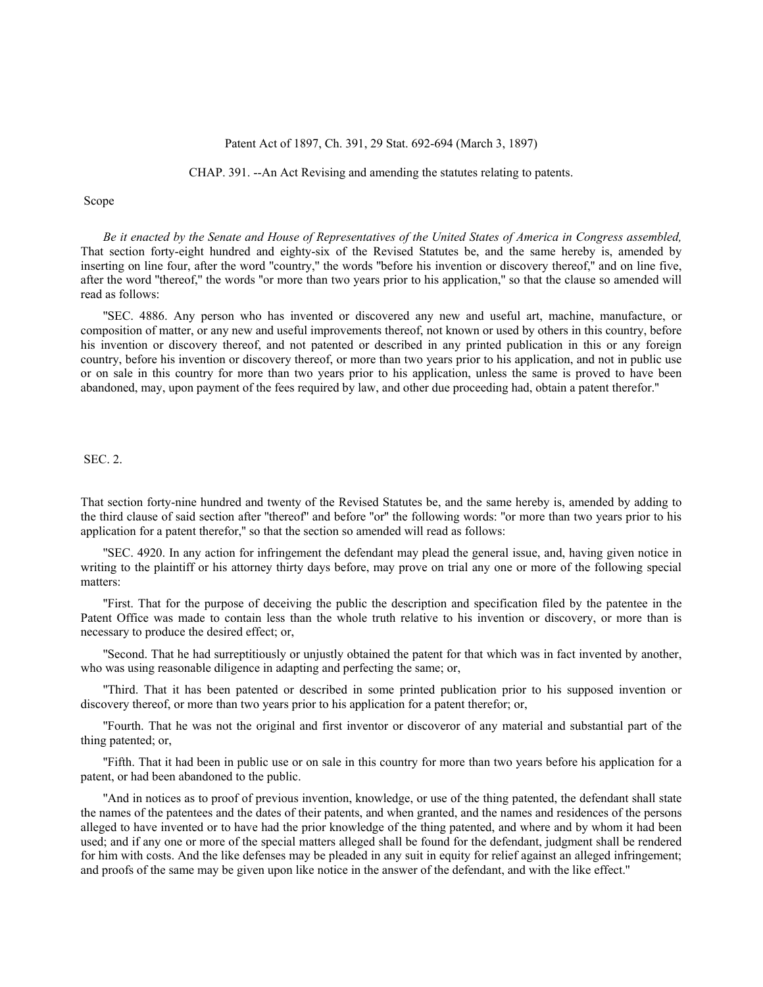#### Patent Act of 1897, Ch. 391, 29 Stat. 692-694 (March 3, 1897)

CHAP. 391. --An Act Revising and amending the statutes relating to patents.

Scope

*Be it enacted by the Senate and House of Representatives of the United States of America in Congress assembled,* That section forty-eight hundred and eighty-six of the Revised Statutes be, and the same hereby is, amended by inserting on line four, after the word ''country,'' the words ''before his invention or discovery thereof,'' and on line five, after the word ''thereof,'' the words ''or more than two years prior to his application,'' so that the clause so amended will read as follows:

''SEC. 4886. Any person who has invented or discovered any new and useful art, machine, manufacture, or composition of matter, or any new and useful improvements thereof, not known or used by others in this country, before his invention or discovery thereof, and not patented or described in any printed publication in this or any foreign country, before his invention or discovery thereof, or more than two years prior to his application, and not in public use or on sale in this country for more than two years prior to his application, unless the same is proved to have been abandoned, may, upon payment of the fees required by law, and other due proceeding had, obtain a patent therefor.''

## SEC. 2.

That section forty-nine hundred and twenty of the Revised Statutes be, and the same hereby is, amended by adding to the third clause of said section after ''thereof'' and before ''or'' the following words: ''or more than two years prior to his application for a patent therefor,'' so that the section so amended will read as follows:

''SEC. 4920. In any action for infringement the defendant may plead the general issue, and, having given notice in writing to the plaintiff or his attorney thirty days before, may prove on trial any one or more of the following special matters:

''First. That for the purpose of deceiving the public the description and specification filed by the patentee in the Patent Office was made to contain less than the whole truth relative to his invention or discovery, or more than is necessary to produce the desired effect; or,

''Second. That he had surreptitiously or unjustly obtained the patent for that which was in fact invented by another, who was using reasonable diligence in adapting and perfecting the same; or,

''Third. That it has been patented or described in some printed publication prior to his supposed invention or discovery thereof, or more than two years prior to his application for a patent therefor; or,

''Fourth. That he was not the original and first inventor or discoveror of any material and substantial part of the thing patented; or,

''Fifth. That it had been in public use or on sale in this country for more than two years before his application for a patent, or had been abandoned to the public.

''And in notices as to proof of previous invention, knowledge, or use of the thing patented, the defendant shall state the names of the patentees and the dates of their patents, and when granted, and the names and residences of the persons alleged to have invented or to have had the prior knowledge of the thing patented, and where and by whom it had been used; and if any one or more of the special matters alleged shall be found for the defendant, judgment shall be rendered for him with costs. And the like defenses may be pleaded in any suit in equity for relief against an alleged infringement; and proofs of the same may be given upon like notice in the answer of the defendant, and with the like effect.''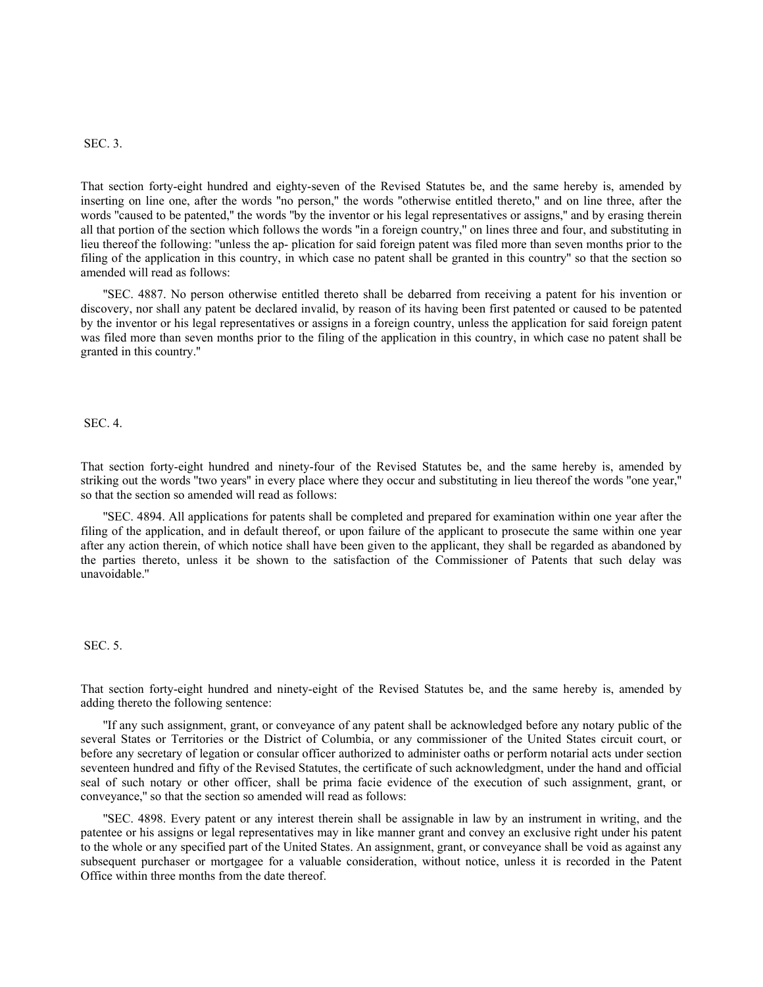## SEC. 3.

That section forty-eight hundred and eighty-seven of the Revised Statutes be, and the same hereby is, amended by inserting on line one, after the words ''no person,'' the words ''otherwise entitled thereto,'' and on line three, after the words ''caused to be patented,'' the words ''by the inventor or his legal representatives or assigns,'' and by erasing therein all that portion of the section which follows the words ''in a foreign country,'' on lines three and four, and substituting in lieu thereof the following: ''unless the ap- plication for said foreign patent was filed more than seven months prior to the filing of the application in this country, in which case no patent shall be granted in this country'' so that the section so amended will read as follows:

''SEC. 4887. No person otherwise entitled thereto shall be debarred from receiving a patent for his invention or discovery, nor shall any patent be declared invalid, by reason of its having been first patented or caused to be patented by the inventor or his legal representatives or assigns in a foreign country, unless the application for said foreign patent was filed more than seven months prior to the filing of the application in this country, in which case no patent shall be granted in this country.''

SEC. 4.

That section forty-eight hundred and ninety-four of the Revised Statutes be, and the same hereby is, amended by striking out the words ''two years'' in every place where they occur and substituting in lieu thereof the words ''one year,'' so that the section so amended will read as follows:

''SEC. 4894. All applications for patents shall be completed and prepared for examination within one year after the filing of the application, and in default thereof, or upon failure of the applicant to prosecute the same within one year after any action therein, of which notice shall have been given to the applicant, they shall be regarded as abandoned by the parties thereto, unless it be shown to the satisfaction of the Commissioner of Patents that such delay was unavoidable.''

# SEC. 5.

That section forty-eight hundred and ninety-eight of the Revised Statutes be, and the same hereby is, amended by adding thereto the following sentence:

''If any such assignment, grant, or conveyance of any patent shall be acknowledged before any notary public of the several States or Territories or the District of Columbia, or any commissioner of the United States circuit court, or before any secretary of legation or consular officer authorized to administer oaths or perform notarial acts under section seventeen hundred and fifty of the Revised Statutes, the certificate of such acknowledgment, under the hand and official seal of such notary or other officer, shall be prima facie evidence of the execution of such assignment, grant, or conveyance,'' so that the section so amended will read as follows:

''SEC. 4898. Every patent or any interest therein shall be assignable in law by an instrument in writing, and the patentee or his assigns or legal representatives may in like manner grant and convey an exclusive right under his patent to the whole or any specified part of the United States. An assignment, grant, or conveyance shall be void as against any subsequent purchaser or mortgagee for a valuable consideration, without notice, unless it is recorded in the Patent Office within three months from the date thereof.